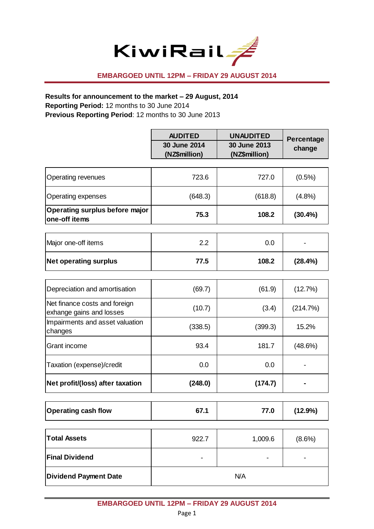

#### **EMBARGOED UNTIL 12PM – FRIDAY 29 AUGUST 2014**

#### **Results for announcement to the market – 29 August, 2014**

**Reporting Period:** 12 months to 30 June 2014

**Previous Reporting Period**: 12 months to 30 June 2013

|                                                           | <b>AUDITED</b><br>30 June 2014<br>(NZ\$million) | <b>UNAUDITED</b><br>30 June 2013<br>(NZ\$million) | Percentage<br>change |
|-----------------------------------------------------------|-------------------------------------------------|---------------------------------------------------|----------------------|
| Operating revenues                                        | 723.6                                           | 727.0                                             | (0.5%)               |
| <b>Operating expenses</b>                                 | (648.3)                                         | (618.8)                                           | $(4.8\%)$            |
| Operating surplus before major<br>one-off items           | 75.3                                            | 108.2                                             | $(30.4\%)$           |
| Major one-off items                                       | 2.2                                             | 0.0                                               |                      |
| <b>Net operating surplus</b>                              | 77.5                                            | 108.2                                             | (28.4%)              |
|                                                           |                                                 |                                                   |                      |
| Depreciation and amortisation                             | (69.7)                                          | (61.9)                                            | (12.7%)              |
| Net finance costs and foreign<br>exhange gains and losses | (10.7)                                          | (3.4)                                             | (214.7%)             |
| Impairments and asset valuation<br>changes                | (338.5)                                         | (399.3)                                           | 15.2%                |
| Grant income                                              | 93.4                                            | 181.7                                             | (48.6%)              |
| Taxation (expense)/credit                                 | 0.0                                             | 0.0                                               |                      |
| Net profit/(loss) after taxation                          | (248.0)                                         | (174.7)                                           |                      |
| <b>Operating cash flow</b>                                | 67.1                                            | 77.0                                              | (12.9%)              |
| <b>Total Assets</b>                                       | 922.7                                           | 1,009.6                                           | (8.6%)               |
| <b>Final Dividend</b>                                     |                                                 |                                                   |                      |
| <b>Dividend Payment Date</b>                              | N/A                                             |                                                   |                      |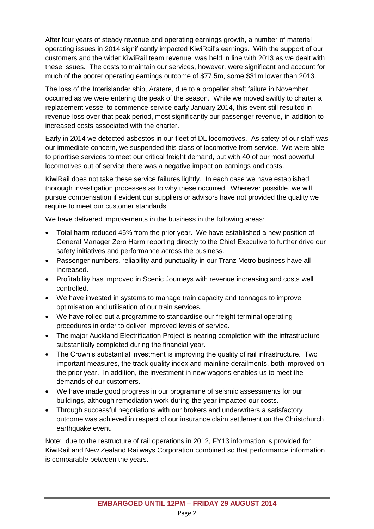After four years of steady revenue and operating earnings growth, a number of material operating issues in 2014 significantly impacted KiwiRail's earnings. With the support of our customers and the wider KiwiRail team revenue, was held in line with 2013 as we dealt with these issues. The costs to maintain our services, however, were significant and account for much of the poorer operating earnings outcome of \$77.5m, some \$31m lower than 2013.

The loss of the Interislander ship, Aratere, due to a propeller shaft failure in November occurred as we were entering the peak of the season. While we moved swiftly to charter a replacement vessel to commence service early January 2014, this event still resulted in revenue loss over that peak period, most significantly our passenger revenue, in addition to increased costs associated with the charter.

Early in 2014 we detected asbestos in our fleet of DL locomotives. As safety of our staff was our immediate concern, we suspended this class of locomotive from service. We were able to prioritise services to meet our critical freight demand, but with 40 of our most powerful locomotives out of service there was a negative impact on earnings and costs.

KiwiRail does not take these service failures lightly. In each case we have established thorough investigation processes as to why these occurred. Wherever possible, we will pursue compensation if evident our suppliers or advisors have not provided the quality we require to meet our customer standards.

We have delivered improvements in the business in the following areas:

- Total harm reduced 45% from the prior year. We have established a new position of General Manager Zero Harm reporting directly to the Chief Executive to further drive our safety initiatives and performance across the business.
- Passenger numbers, reliability and punctuality in our Tranz Metro business have all increased.
- Profitability has improved in Scenic Journeys with revenue increasing and costs well controlled.
- We have invested in systems to manage train capacity and tonnages to improve optimisation and utilisation of our train services.
- We have rolled out a programme to standardise our freight terminal operating procedures in order to deliver improved levels of service.
- The major Auckland Electrification Project is nearing completion with the infrastructure substantially completed during the financial year.
- The Crown's substantial investment is improving the quality of rail infrastructure. Two important measures, the track quality index and mainline derailments, both improved on the prior year. In addition, the investment in new wagons enables us to meet the demands of our customers.
- We have made good progress in our programme of seismic assessments for our buildings, although remediation work during the year impacted our costs.
- Through successful negotiations with our brokers and underwriters a satisfactory outcome was achieved in respect of our insurance claim settlement on the Christchurch earthquake event.

Note: due to the restructure of rail operations in 2012, FY13 information is provided for KiwiRail and New Zealand Railways Corporation combined so that performance information is comparable between the years.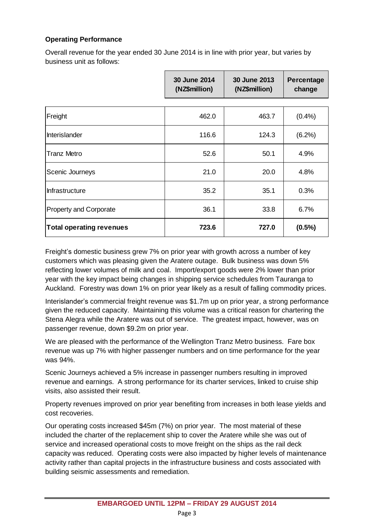#### **Operating Performance**

Overall revenue for the year ended 30 June 2014 is in line with prior year, but varies by business unit as follows:

|                                 | <b>30 June 2014</b><br>(NZ\$million) | 30 June 2013<br>(NZ\$million) | <b>Percentage</b><br>change |
|---------------------------------|--------------------------------------|-------------------------------|-----------------------------|
|                                 |                                      |                               |                             |
| Freight                         | 462.0                                | 463.7                         | (0.4% )                     |
| Interislander                   | 116.6                                | 124.3                         | $(6.2\%)$                   |
| <b>Tranz Metro</b>              | 52.6                                 | 50.1                          | 4.9%                        |
| Scenic Journeys                 | 21.0                                 | 20.0                          | 4.8%                        |
| <b>Infrastructure</b>           | 35.2                                 | 35.1                          | 0.3%                        |
| <b>Property and Corporate</b>   | 36.1                                 | 33.8                          | 6.7%                        |
| <b>Total operating revenues</b> | 723.6                                | 727.0                         | $(0.5\%)$                   |

Freight's domestic business grew 7% on prior year with growth across a number of key customers which was pleasing given the Aratere outage. Bulk business was down 5% reflecting lower volumes of milk and coal. Import/export goods were 2% lower than prior year with the key impact being changes in shipping service schedules from Tauranga to Auckland. Forestry was down 1% on prior year likely as a result of falling commodity prices.

Interislander's commercial freight revenue was \$1.7m up on prior year, a strong performance given the reduced capacity. Maintaining this volume was a critical reason for chartering the Stena Alegra while the Aratere was out of service. The greatest impact, however, was on passenger revenue, down \$9.2m on prior year.

We are pleased with the performance of the Wellington Tranz Metro business. Fare box revenue was up 7% with higher passenger numbers and on time performance for the year was 94%.

Scenic Journeys achieved a 5% increase in passenger numbers resulting in improved revenue and earnings. A strong performance for its charter services, linked to cruise ship visits, also assisted their result.

Property revenues improved on prior year benefiting from increases in both lease yields and cost recoveries.

Our operating costs increased \$45m (7%) on prior year. The most material of these included the charter of the replacement ship to cover the Aratere while she was out of service and increased operational costs to move freight on the ships as the rail deck capacity was reduced. Operating costs were also impacted by higher levels of maintenance activity rather than capital projects in the infrastructure business and costs associated with building seismic assessments and remediation.